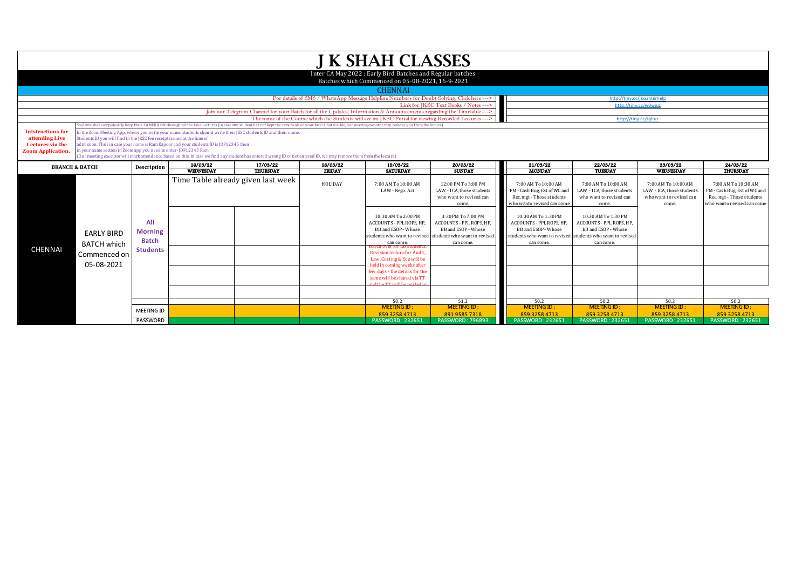|                                                                                            |                                                                                                                                                                                                                                                                                                                                                                                                                                                                                                                                                                                                                                                                                                                                                |                                       |                                    |                                                                                                                        |               | <b>J K SHAH CLASSES</b>                                                                                       |                                                                                                                                                  |                                                                                                                |                                                                                                                                                   |                                                                                      |                                                                                                                |
|--------------------------------------------------------------------------------------------|------------------------------------------------------------------------------------------------------------------------------------------------------------------------------------------------------------------------------------------------------------------------------------------------------------------------------------------------------------------------------------------------------------------------------------------------------------------------------------------------------------------------------------------------------------------------------------------------------------------------------------------------------------------------------------------------------------------------------------------------|---------------------------------------|------------------------------------|------------------------------------------------------------------------------------------------------------------------|---------------|---------------------------------------------------------------------------------------------------------------|--------------------------------------------------------------------------------------------------------------------------------------------------|----------------------------------------------------------------------------------------------------------------|---------------------------------------------------------------------------------------------------------------------------------------------------|--------------------------------------------------------------------------------------|----------------------------------------------------------------------------------------------------------------|
|                                                                                            |                                                                                                                                                                                                                                                                                                                                                                                                                                                                                                                                                                                                                                                                                                                                                |                                       |                                    |                                                                                                                        |               | Inter CA May 2022: Early Bird Batches and Regular batches<br>Batches which Commenced on 05-08-2021, 16-9-2021 |                                                                                                                                                  |                                                                                                                |                                                                                                                                                   |                                                                                      |                                                                                                                |
|                                                                                            |                                                                                                                                                                                                                                                                                                                                                                                                                                                                                                                                                                                                                                                                                                                                                |                                       |                                    |                                                                                                                        |               | <b>CHENNAI</b>                                                                                                |                                                                                                                                                  |                                                                                                                |                                                                                                                                                   |                                                                                      |                                                                                                                |
|                                                                                            |                                                                                                                                                                                                                                                                                                                                                                                                                                                                                                                                                                                                                                                                                                                                                |                                       |                                    |                                                                                                                        |               | For details of SMS / WhatsApp Message Helpline Numbers for Doubt Solving, Click here --->                     |                                                                                                                                                  |                                                                                                                | http://tiny.cc/jkscinterhelp                                                                                                                      |                                                                                      |                                                                                                                |
|                                                                                            |                                                                                                                                                                                                                                                                                                                                                                                                                                                                                                                                                                                                                                                                                                                                                |                                       |                                    |                                                                                                                        |               |                                                                                                               | Link for IKSC Text Books / Notes --->                                                                                                            |                                                                                                                | http://tiny.cc/w0wiuz                                                                                                                             |                                                                                      |                                                                                                                |
|                                                                                            |                                                                                                                                                                                                                                                                                                                                                                                                                                                                                                                                                                                                                                                                                                                                                |                                       |                                    | Join our Telegram Channel for your Batch for all the Updates, Information & Announcements regarding the Timetable ---> |               |                                                                                                               |                                                                                                                                                  |                                                                                                                |                                                                                                                                                   |                                                                                      |                                                                                                                |
|                                                                                            |                                                                                                                                                                                                                                                                                                                                                                                                                                                                                                                                                                                                                                                                                                                                                |                                       |                                    |                                                                                                                        |               | The name of the Course which the Students will see on JKSC Portal for viewing Recorded Lectures --- >         |                                                                                                                                                  |                                                                                                                | http://tiny.cc/tqlluz                                                                                                                             |                                                                                      |                                                                                                                |
| <b>Intstructions for</b><br>attending Live<br>Lectures via the<br><b>Zoom Application.</b> | dents shall compulsorily keep their CAMERA ON throughout the Live Lectures (in case any student has not kept the camera on or your face is not visible, our meeting executor may remove you from the lecture)<br>In the Zoom Meeting App, where you write your name, students should write their JKSC students ID and their name.<br>Students ID you will find in the IKSC fee receipt issued at the time of<br>admission. Thus in case your name is Ram Kapoor and your students ID is JDF12345 then<br>in your name section in Zoom app you need to enter-JDF12345 Ram<br>(Our meeting executor will mark attendance based on this. In case we find any student has entered wrong ID or not entered ID, we may remove them from the lecture) |                                       |                                    |                                                                                                                        |               |                                                                                                               |                                                                                                                                                  |                                                                                                                |                                                                                                                                                   |                                                                                      |                                                                                                                |
| <b>BRANCH &amp; BATCH</b>                                                                  |                                                                                                                                                                                                                                                                                                                                                                                                                                                                                                                                                                                                                                                                                                                                                | Description                           | 16/03/22                           | 17/03/22                                                                                                               | 18/03/22      | 19/03/22                                                                                                      | 20/03/22                                                                                                                                         | 21/03/22                                                                                                       | 22/03/22                                                                                                                                          | 23/03/22                                                                             | 24/03/22                                                                                                       |
|                                                                                            |                                                                                                                                                                                                                                                                                                                                                                                                                                                                                                                                                                                                                                                                                                                                                |                                       | <b>WEDNESDAY</b>                   | <b>THURSDAY</b>                                                                                                        | <b>FRIDAY</b> | <b>SATURDAY</b>                                                                                               | <b>SUNDAY</b>                                                                                                                                    | <b>MONDAY</b>                                                                                                  | TUESDAY                                                                                                                                           | WEDNESDAY                                                                            | THURSDAY                                                                                                       |
|                                                                                            |                                                                                                                                                                                                                                                                                                                                                                                                                                                                                                                                                                                                                                                                                                                                                |                                       | Time Table already given last week |                                                                                                                        | HOLIDAY       | 7:00 AM To 10:00 AM<br>LAW - Nego. Act                                                                        | 12:00 PM To 3:00 PM<br>LAW - ICA, those students<br>who want to revised can<br>come.                                                             | 7:00 AM To 10:00 AM<br>FM - Cash Bug, Est of WC and<br>Rec. mgt - Those students<br>who wanto revised can come | 7:00 AM To 10:00 AM<br>LAW - ICA, those students<br>who want to revised can<br>come.                                                              | 7:00 AM To 10:00 AM<br>LAW - ICA, those students<br>who want to revised can<br>come. | 7:00 AM To 10:30 AM<br>FM - Cash Bug, Est of WC and<br>Rec. mgt - Those students<br>who wanto revised can come |
|                                                                                            | <b>EARLY BIRD</b><br><b>BATCH which</b>                                                                                                                                                                                                                                                                                                                                                                                                                                                                                                                                                                                                                                                                                                        | All<br><b>Morning</b><br><b>Batch</b> |                                    |                                                                                                                        |               | 10:30 AM To 2:00 PM<br>ACCOUNTS - PPI, ROPS, HP<br>BB and ESOP - Whose<br>can come.                           | 3:30 PM To 7:00 PM<br>ACCOUNTS - PPI, ROPS, HP.<br>BB and ESOP - Whose<br>students who want to revised students who want to revised<br>can come. | 10:30 AM To 1:30 PM<br><b>ACCOUNTS - PPI, ROPS, HP</b><br>BB and ESOP - Whose<br>can come                      | 10:30 AM To 1:30 PM<br>ACCOUNTS - PPI, ROPS, HP.<br>BB and ESOP - Whose<br>students who want to revised students who want to revised<br>can come. |                                                                                      |                                                                                                                |
| <b>CHENNAI</b>                                                                             | Commenced on<br>05-08-2021                                                                                                                                                                                                                                                                                                                                                                                                                                                                                                                                                                                                                                                                                                                     | <b>Students</b>                       |                                    |                                                                                                                        |               | Revision lecture for Audit.<br>Law, Costing & Eco will be<br>held in coming weeks after                       |                                                                                                                                                  |                                                                                                                |                                                                                                                                                   |                                                                                      |                                                                                                                |
|                                                                                            |                                                                                                                                                                                                                                                                                                                                                                                                                                                                                                                                                                                                                                                                                                                                                |                                       |                                    |                                                                                                                        |               | few days - the details for the<br>same will be shared via TT<br>disks mm coll les was east o                  |                                                                                                                                                  |                                                                                                                |                                                                                                                                                   |                                                                                      |                                                                                                                |
|                                                                                            |                                                                                                                                                                                                                                                                                                                                                                                                                                                                                                                                                                                                                                                                                                                                                |                                       |                                    |                                                                                                                        |               |                                                                                                               |                                                                                                                                                  |                                                                                                                |                                                                                                                                                   |                                                                                      |                                                                                                                |
|                                                                                            |                                                                                                                                                                                                                                                                                                                                                                                                                                                                                                                                                                                                                                                                                                                                                |                                       |                                    |                                                                                                                        |               | 50.2<br><b>MEETING ID:</b>                                                                                    | 51.2<br><b>MEETING ID:</b>                                                                                                                       | 50.2<br><b>MEETING ID:</b>                                                                                     | 50.2<br><b>MEETING ID:</b>                                                                                                                        | 50.2<br><b>MEETING ID:</b>                                                           | 50.2<br><b>MEETING ID:</b>                                                                                     |
|                                                                                            |                                                                                                                                                                                                                                                                                                                                                                                                                                                                                                                                                                                                                                                                                                                                                | <b>MEETING ID</b>                     |                                    |                                                                                                                        |               | 85932584713                                                                                                   | 891 9585 7318                                                                                                                                    | 859 3258 4713                                                                                                  | 859 3258 4713                                                                                                                                     | 859 3258 4713                                                                        | 85932584713                                                                                                    |
|                                                                                            |                                                                                                                                                                                                                                                                                                                                                                                                                                                                                                                                                                                                                                                                                                                                                | <b>PASSWORD</b>                       |                                    |                                                                                                                        |               | <b>PASSWORD: 232651</b>                                                                                       | <b>PASSWORD: 796893</b>                                                                                                                          | <b>PASSWORD: 232651</b>                                                                                        | <b>PASSWORD: 232651</b>                                                                                                                           | <b>PASSWORD: 232651</b>                                                              | <b>PASSWORD: 232651</b>                                                                                        |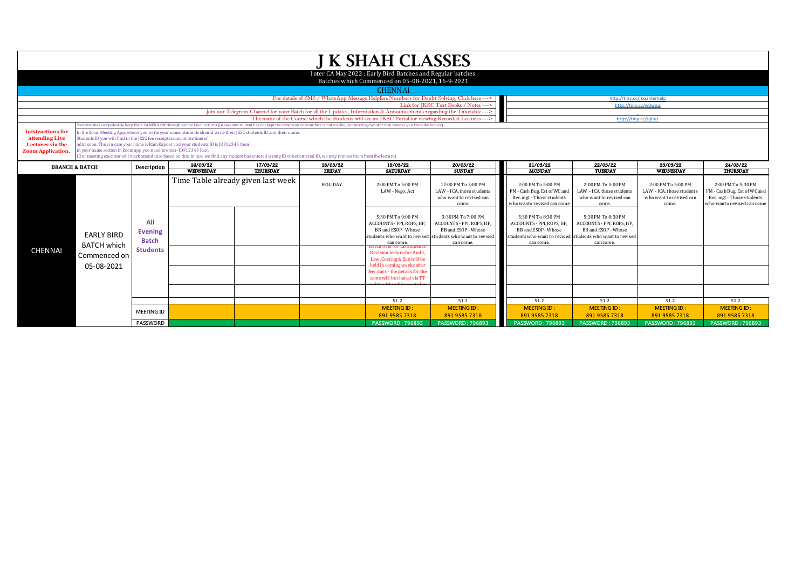|                                                                                           |                                                                                                                                                                                                                                                                                                                                                                                                                                                                                                                                                                                                                                                                                                                                                 |                                                          |                  |                                                                                                                        |               | <b>J K SHAH CLASSES</b>                                                                                          |                                                                                                                                                 |                                                                                                               |                                                                                                                                                  |                                                                                     |                                                                                                               |
|-------------------------------------------------------------------------------------------|-------------------------------------------------------------------------------------------------------------------------------------------------------------------------------------------------------------------------------------------------------------------------------------------------------------------------------------------------------------------------------------------------------------------------------------------------------------------------------------------------------------------------------------------------------------------------------------------------------------------------------------------------------------------------------------------------------------------------------------------------|----------------------------------------------------------|------------------|------------------------------------------------------------------------------------------------------------------------|---------------|------------------------------------------------------------------------------------------------------------------|-------------------------------------------------------------------------------------------------------------------------------------------------|---------------------------------------------------------------------------------------------------------------|--------------------------------------------------------------------------------------------------------------------------------------------------|-------------------------------------------------------------------------------------|---------------------------------------------------------------------------------------------------------------|
|                                                                                           |                                                                                                                                                                                                                                                                                                                                                                                                                                                                                                                                                                                                                                                                                                                                                 |                                                          |                  |                                                                                                                        |               | Inter CA May 2022: Early Bird Batches and Regular batches<br>Batches which Commenced on 05-08-2021, 16-9-2021    |                                                                                                                                                 |                                                                                                               |                                                                                                                                                  |                                                                                     |                                                                                                               |
|                                                                                           |                                                                                                                                                                                                                                                                                                                                                                                                                                                                                                                                                                                                                                                                                                                                                 |                                                          |                  |                                                                                                                        |               | <b>CHENNAI</b>                                                                                                   |                                                                                                                                                 |                                                                                                               |                                                                                                                                                  |                                                                                     |                                                                                                               |
|                                                                                           |                                                                                                                                                                                                                                                                                                                                                                                                                                                                                                                                                                                                                                                                                                                                                 |                                                          |                  |                                                                                                                        |               | For details of SMS / WhatsApp Message Helpline Numbers for Doubt Solving, Click here --->                        |                                                                                                                                                 |                                                                                                               | http://tiny.cc/ikscinterhelp                                                                                                                     |                                                                                     |                                                                                                               |
|                                                                                           |                                                                                                                                                                                                                                                                                                                                                                                                                                                                                                                                                                                                                                                                                                                                                 |                                                          |                  |                                                                                                                        |               |                                                                                                                  | Link for JKSC Text Books / Notes --->                                                                                                           |                                                                                                               | http://tiny.cc/w0wjuz                                                                                                                            |                                                                                     |                                                                                                               |
|                                                                                           |                                                                                                                                                                                                                                                                                                                                                                                                                                                                                                                                                                                                                                                                                                                                                 |                                                          |                  | Join our Telegram Channel for your Batch for all the Updates, Information & Announcements regarding the Timetable ---> |               |                                                                                                                  |                                                                                                                                                 |                                                                                                               |                                                                                                                                                  |                                                                                     |                                                                                                               |
|                                                                                           |                                                                                                                                                                                                                                                                                                                                                                                                                                                                                                                                                                                                                                                                                                                                                 |                                                          |                  |                                                                                                                        |               | The name of the Course which the Students will see on JKSC Portal for viewing Recorded Lectures --->             |                                                                                                                                                 |                                                                                                               | http://tinv.cc/talluz                                                                                                                            |                                                                                     |                                                                                                               |
| <b>Intstructions for</b><br>attending Live<br>Lectures via the<br><b>Zoom Application</b> | udents shall compulsorily keep their CAMERA ON throughout the Live Lectures (in case any student has not kept the camera on or your face is not visible, our meeting executor may remove you from the lecture)<br>In the Zoom Meeting App, where you write your name, students should write their JKSC students ID and their name.<br>Students ID you will find in the JKSC fee receipt issued at the time of<br>admission. Thus in case your name is Ram Kapoor and your students ID is JDF12345 then<br>in your name section in Zoom app you need to enter-JDF12345 Ram<br>(Our meeting executor will mark attendance based on this. In case we find any student has entered wrong ID or not entered ID, we may remove them from the lecture) |                                                          |                  |                                                                                                                        |               |                                                                                                                  |                                                                                                                                                 |                                                                                                               |                                                                                                                                                  |                                                                                     |                                                                                                               |
| <b>BRANCH &amp; BATCH</b>                                                                 |                                                                                                                                                                                                                                                                                                                                                                                                                                                                                                                                                                                                                                                                                                                                                 | Description                                              | 16/03/22         | 17/03/22                                                                                                               | 18/03/22      | 19/03/22                                                                                                         | 20/03/22                                                                                                                                        | 21/03/22                                                                                                      | 22/03/22                                                                                                                                         | 23/03/22                                                                            | 24/03/22                                                                                                      |
|                                                                                           |                                                                                                                                                                                                                                                                                                                                                                                                                                                                                                                                                                                                                                                                                                                                                 |                                                          | <b>WEDNESDAY</b> | <b>THURSDAY</b>                                                                                                        | <b>FRIDAY</b> | <b>SATURDAY</b>                                                                                                  | <b>SUNDAY</b>                                                                                                                                   | <b>MONDAY</b>                                                                                                 | TUESDAY                                                                                                                                          | <b>WEDNESDAY</b>                                                                    | <b>THURSDAY</b>                                                                                               |
|                                                                                           |                                                                                                                                                                                                                                                                                                                                                                                                                                                                                                                                                                                                                                                                                                                                                 |                                                          |                  | Time Table already given last week                                                                                     | HOLIDAY       | 2:00 PM To 5:00 PM<br>LAW - Nego. Act                                                                            | 12:00 PM To 3:00 PM<br>LAW - ICA, those students<br>who want to revised can<br>come.                                                            | 2:00 PM To 5:00 PM<br>FM - Cash Bug, Est of WC and<br>Rec. mgt - Those students<br>who wanto revised can come | 2:00 PM To 5:00 PM<br>LAW - ICA, those students<br>who want to revised can<br>come.                                                              | 2:00 PM To 5:00 PM<br>LAW - ICA, those students<br>who want to revised can<br>come. | 2:00 PM To 5:30 PM<br>FM - Cash Bug, Est of WC and<br>Rec. mgt - Those students<br>who wanto revised can come |
|                                                                                           | <b>EARLY BIRD</b><br><b>BATCH which</b>                                                                                                                                                                                                                                                                                                                                                                                                                                                                                                                                                                                                                                                                                                         | All<br><b>Evening</b><br><b>Batch</b><br><b>Students</b> |                  |                                                                                                                        |               | 5:30 PM To 9:00 PM<br>ACCOUNTS - PPI, ROPS, HP,<br>BB and ESOP - Whose<br>can come.<br>batch over for eb student | 3:30 PM To 7:00 PM<br>ACCOUNTS - PPI, ROPS, HP.<br>BB and ESOP - Whose<br>students who want to revised students who want to revised<br>can come | 5:30 PM To 8:30 PM<br>ACCOUNTS - PPI. ROPS. HP.<br>BB and ESOP - Whose<br>can come                            | 5:30 PM To 8:30 PM<br>ACCOUNTS - PPI. ROPS. HP.<br>BB and ESOP - Whose<br>students who want to revised students who want to revised<br>can come. |                                                                                     |                                                                                                               |
| <b>CHENNAL</b>                                                                            | Commenced on<br>05-08-2021                                                                                                                                                                                                                                                                                                                                                                                                                                                                                                                                                                                                                                                                                                                      |                                                          |                  |                                                                                                                        |               | Revision lecture for Audit.<br>Law, Costing & Eco will be<br>held in coming weeks after                          |                                                                                                                                                 |                                                                                                               |                                                                                                                                                  |                                                                                     |                                                                                                               |
|                                                                                           |                                                                                                                                                                                                                                                                                                                                                                                                                                                                                                                                                                                                                                                                                                                                                 |                                                          |                  |                                                                                                                        |               | few days - the details for the<br>same will be shared via TT                                                     |                                                                                                                                                 |                                                                                                               |                                                                                                                                                  |                                                                                     |                                                                                                               |
|                                                                                           |                                                                                                                                                                                                                                                                                                                                                                                                                                                                                                                                                                                                                                                                                                                                                 |                                                          |                  |                                                                                                                        |               |                                                                                                                  |                                                                                                                                                 |                                                                                                               |                                                                                                                                                  |                                                                                     |                                                                                                               |
|                                                                                           |                                                                                                                                                                                                                                                                                                                                                                                                                                                                                                                                                                                                                                                                                                                                                 |                                                          |                  |                                                                                                                        |               | 51.2<br><b>MEETING ID:</b>                                                                                       | 51.2<br><b>MEETING ID:</b>                                                                                                                      | 51.2                                                                                                          | 51.2<br><b>MEETING ID:</b>                                                                                                                       | 51.2<br><b>MEETING ID:</b>                                                          | 51.2                                                                                                          |
|                                                                                           |                                                                                                                                                                                                                                                                                                                                                                                                                                                                                                                                                                                                                                                                                                                                                 | <b>MEETING ID</b>                                        |                  |                                                                                                                        |               | 891 9585 7318                                                                                                    | 891 9585 7318                                                                                                                                   | <b>MEETING ID:</b><br>891 9585 7318                                                                           | 891 9585 7318                                                                                                                                    | 891 9585 7318                                                                       | <b>MEETING ID:</b><br>891 9585 7318                                                                           |
|                                                                                           |                                                                                                                                                                                                                                                                                                                                                                                                                                                                                                                                                                                                                                                                                                                                                 | <b>PASSWORD</b>                                          |                  |                                                                                                                        |               | <b>PASSWORD: 796893</b>                                                                                          | <b>PASSWORD: 796893</b>                                                                                                                         | <b>PASSWORD: 796893</b>                                                                                       | <b>PASSWORD: 796893</b>                                                                                                                          | <b>PASSWORD: 796893</b>                                                             | <b>PASSWORD: 796893</b>                                                                                       |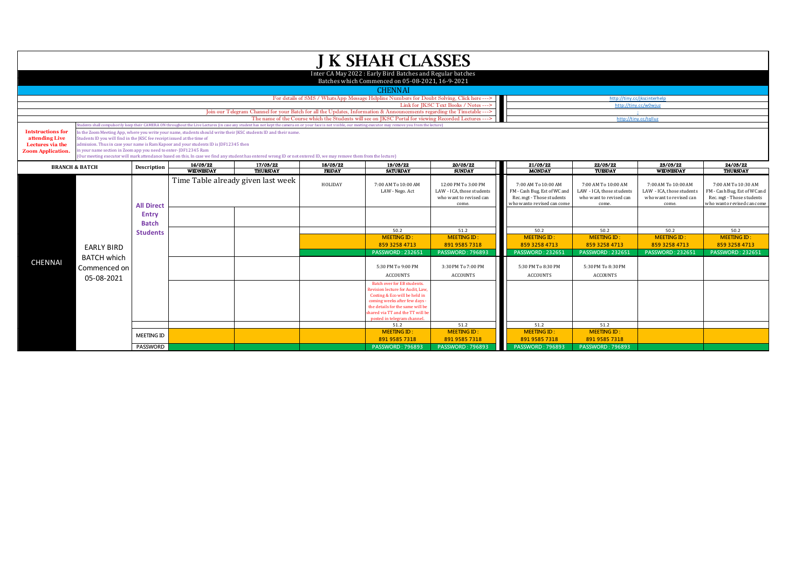|                                                                                            |                                                                                                                                                                                                                                                                                                                                                                                                                                                                                                                              |                                                                                                                                                                                                                                                                                                                                                  |                  |                                                                                                                        |               | <b>J K SHAH CLASSES</b>                                                                                                                                                                                                                       |                                                                                     |                                                                                                                |                                                                                      |                                                                                      |                                                                                                                |  |
|--------------------------------------------------------------------------------------------|------------------------------------------------------------------------------------------------------------------------------------------------------------------------------------------------------------------------------------------------------------------------------------------------------------------------------------------------------------------------------------------------------------------------------------------------------------------------------------------------------------------------------|--------------------------------------------------------------------------------------------------------------------------------------------------------------------------------------------------------------------------------------------------------------------------------------------------------------------------------------------------|------------------|------------------------------------------------------------------------------------------------------------------------|---------------|-----------------------------------------------------------------------------------------------------------------------------------------------------------------------------------------------------------------------------------------------|-------------------------------------------------------------------------------------|----------------------------------------------------------------------------------------------------------------|--------------------------------------------------------------------------------------|--------------------------------------------------------------------------------------|----------------------------------------------------------------------------------------------------------------|--|
|                                                                                            |                                                                                                                                                                                                                                                                                                                                                                                                                                                                                                                              |                                                                                                                                                                                                                                                                                                                                                  |                  |                                                                                                                        |               | Inter CA May 2022: Early Bird Batches and Regular batches                                                                                                                                                                                     |                                                                                     |                                                                                                                |                                                                                      |                                                                                      |                                                                                                                |  |
|                                                                                            |                                                                                                                                                                                                                                                                                                                                                                                                                                                                                                                              |                                                                                                                                                                                                                                                                                                                                                  |                  |                                                                                                                        |               | Batches which Commenced on 05-08-2021, 16-9-2021                                                                                                                                                                                              |                                                                                     |                                                                                                                |                                                                                      |                                                                                      |                                                                                                                |  |
|                                                                                            |                                                                                                                                                                                                                                                                                                                                                                                                                                                                                                                              |                                                                                                                                                                                                                                                                                                                                                  |                  |                                                                                                                        |               | <b>CHENNAI</b>                                                                                                                                                                                                                                |                                                                                     |                                                                                                                |                                                                                      |                                                                                      |                                                                                                                |  |
|                                                                                            |                                                                                                                                                                                                                                                                                                                                                                                                                                                                                                                              |                                                                                                                                                                                                                                                                                                                                                  |                  |                                                                                                                        |               | For details of SMS / WhatsApp Message Helpline Numbers for Doubt Solving, Click here --->                                                                                                                                                     |                                                                                     |                                                                                                                |                                                                                      | http://tinv.cc/ikscinterhelp                                                         |                                                                                                                |  |
|                                                                                            |                                                                                                                                                                                                                                                                                                                                                                                                                                                                                                                              |                                                                                                                                                                                                                                                                                                                                                  |                  |                                                                                                                        |               |                                                                                                                                                                                                                                               | Link for JKSC Text Books / Notes --->                                               |                                                                                                                | http://tiny.cc/w0wjuz                                                                |                                                                                      |                                                                                                                |  |
|                                                                                            |                                                                                                                                                                                                                                                                                                                                                                                                                                                                                                                              |                                                                                                                                                                                                                                                                                                                                                  |                  | Join our Telegram Channel for your Batch for all the Updates, Information & Announcements regarding the Timetable ---> |               |                                                                                                                                                                                                                                               |                                                                                     |                                                                                                                |                                                                                      |                                                                                      |                                                                                                                |  |
|                                                                                            |                                                                                                                                                                                                                                                                                                                                                                                                                                                                                                                              | The name of the Course which the Students will see on IKSC Portal for viewing Recorded Lectures ---><br>http://tinv.cc/talluz<br>tudents shall compulsorily keep their CAMERA ON throughout the Live Lectures (in case any student has not kept the camera on or your face is not visible, our meeting executor may remove you from the lecture) |                  |                                                                                                                        |               |                                                                                                                                                                                                                                               |                                                                                     |                                                                                                                |                                                                                      |                                                                                      |                                                                                                                |  |
| <b>Intstructions for</b><br>attending Live<br>Lectures via the<br><b>Zoom Application.</b> | In the Zoom Meeting App, where you write your name, students should write their JKSC students ID and their name.<br>Students ID you will find in the JKSC fee receipt issued at the time of<br>dmission. Thus in case your name is Ram Kapoor and your students ID is JDF12345 then<br>in your name section in Zoom app you need to enter-JDF12345 Ram<br>(Our meeting executor will mark attendance based on this. In case we find any student has entered wrong ID or not entered ID, we may remove them from the lecture) |                                                                                                                                                                                                                                                                                                                                                  |                  |                                                                                                                        |               |                                                                                                                                                                                                                                               |                                                                                     |                                                                                                                |                                                                                      |                                                                                      |                                                                                                                |  |
| <b>BRANCH &amp; BATCH</b>                                                                  |                                                                                                                                                                                                                                                                                                                                                                                                                                                                                                                              | Description                                                                                                                                                                                                                                                                                                                                      | 16/03/22         | 17/03/22                                                                                                               | 18/03/22      | 19/03/22                                                                                                                                                                                                                                      | 20/03/22                                                                            | 21/03/22                                                                                                       | 22/03/22                                                                             | 23/03/22                                                                             | 24/03/22                                                                                                       |  |
|                                                                                            |                                                                                                                                                                                                                                                                                                                                                                                                                                                                                                                              |                                                                                                                                                                                                                                                                                                                                                  | <b>WEDNESDAY</b> | THURSDAY                                                                                                               | <b>FRIDAY</b> | <b>SATURDAY</b>                                                                                                                                                                                                                               | <b>SUNDAY</b>                                                                       | <b>MONDAY</b>                                                                                                  | TUESDAY                                                                              | <b>WEDNESDAY</b>                                                                     | THURSDAY                                                                                                       |  |
|                                                                                            |                                                                                                                                                                                                                                                                                                                                                                                                                                                                                                                              | <b>All Direct</b><br>Entry<br><b>Batch</b>                                                                                                                                                                                                                                                                                                       |                  | Time Table already given last week                                                                                     | HOLIDAY       | 7:00 AM To 10:00 AM<br>LAW - Nego. Act                                                                                                                                                                                                        | 12:00 PM To 3:00 PM<br>LAW - ICA, those students<br>who want to revised can<br>come | 7:00 AM To 10:00 AM<br>FM - Cash Bug, Est of WC and<br>Rec. mgt - Those students<br>who wanto revised can come | 7:00 AM To 10:00 AM<br>LAW - ICA, those students<br>who want to revised can<br>come. | 7:00 AM To 10:00 AM<br>LAW - ICA, those students<br>who want to revised can<br>come. | 7:00 AM To 10:30 AM<br>FM - Cash Bug, Est of WC and<br>Rec. mgt - Those students<br>who wanto revised can come |  |
|                                                                                            |                                                                                                                                                                                                                                                                                                                                                                                                                                                                                                                              |                                                                                                                                                                                                                                                                                                                                                  |                  |                                                                                                                        |               | 50.2                                                                                                                                                                                                                                          | 51.2                                                                                | 50.2                                                                                                           | 50.2                                                                                 | 50.2                                                                                 | 50.2                                                                                                           |  |
|                                                                                            |                                                                                                                                                                                                                                                                                                                                                                                                                                                                                                                              | <b>Students</b>                                                                                                                                                                                                                                                                                                                                  |                  |                                                                                                                        |               | <b>MEETING ID:</b>                                                                                                                                                                                                                            | <b>MEETING ID:</b>                                                                  | <b>MEETING ID:</b>                                                                                             | <b>MEETING ID:</b>                                                                   | <b>MEETING ID:</b>                                                                   | <b>MEETING ID:</b>                                                                                             |  |
|                                                                                            |                                                                                                                                                                                                                                                                                                                                                                                                                                                                                                                              |                                                                                                                                                                                                                                                                                                                                                  |                  |                                                                                                                        |               | 859 3258 4713                                                                                                                                                                                                                                 | 891 9585 7318                                                                       | 859 3258 4713                                                                                                  | 859 3258 4713                                                                        | 859 3258 4713                                                                        | 859 3258 4713                                                                                                  |  |
|                                                                                            | <b>EARLY BIRD</b>                                                                                                                                                                                                                                                                                                                                                                                                                                                                                                            |                                                                                                                                                                                                                                                                                                                                                  |                  |                                                                                                                        |               | <b>PASSWORD: 232651</b>                                                                                                                                                                                                                       | <b>PASSWORD: 796893</b>                                                             | <b>PASSWORD: 232651</b>                                                                                        | <b>PASSWORD: 232651</b>                                                              | <b>PASSWORD: 232651</b>                                                              | <b>PASSWORD: 232651</b>                                                                                        |  |
| <b>CHENNAI</b>                                                                             | <b>BATCH which</b><br>Commenced on<br>05-08-2021                                                                                                                                                                                                                                                                                                                                                                                                                                                                             |                                                                                                                                                                                                                                                                                                                                                  |                  |                                                                                                                        |               | 5:30 PM To 9:00 PM<br><b>ACCOUNTS</b>                                                                                                                                                                                                         | 3:30 PM To 7:00 PM<br><b>ACCOUNTS</b>                                               | 5:30 PM To 8:30 PM<br><b>ACCOUNTS</b>                                                                          | 5:30 PM To 8:30 PM<br><b>ACCOUNTS</b>                                                |                                                                                      |                                                                                                                |  |
|                                                                                            |                                                                                                                                                                                                                                                                                                                                                                                                                                                                                                                              |                                                                                                                                                                                                                                                                                                                                                  |                  |                                                                                                                        |               | Batch over for EB students.<br><b>Revision lecture for Audit, Law</b><br>Costing & Eco will be held in<br>coming weeks after few days -<br>the details for the same will be<br>shared via TT and the TT will b<br>posted in telegram channel. |                                                                                     |                                                                                                                |                                                                                      |                                                                                      |                                                                                                                |  |
|                                                                                            |                                                                                                                                                                                                                                                                                                                                                                                                                                                                                                                              |                                                                                                                                                                                                                                                                                                                                                  |                  |                                                                                                                        |               | 51.2                                                                                                                                                                                                                                          | 51.2                                                                                | 51.2                                                                                                           | 51.2                                                                                 |                                                                                      |                                                                                                                |  |
|                                                                                            |                                                                                                                                                                                                                                                                                                                                                                                                                                                                                                                              | <b>MEETING ID</b>                                                                                                                                                                                                                                                                                                                                |                  |                                                                                                                        |               | <b>MEETING ID:</b>                                                                                                                                                                                                                            | <b>MEETING ID:</b>                                                                  | <b>MEETING ID:</b>                                                                                             | <b>MEETING ID:</b>                                                                   |                                                                                      |                                                                                                                |  |
|                                                                                            |                                                                                                                                                                                                                                                                                                                                                                                                                                                                                                                              |                                                                                                                                                                                                                                                                                                                                                  |                  |                                                                                                                        |               | 891 9585 7318                                                                                                                                                                                                                                 | 891 9585 7318                                                                       | 891 9585 7318                                                                                                  | 891 9585 7318                                                                        |                                                                                      |                                                                                                                |  |
|                                                                                            |                                                                                                                                                                                                                                                                                                                                                                                                                                                                                                                              | PASSWORD                                                                                                                                                                                                                                                                                                                                         |                  |                                                                                                                        |               | <b>PASSWORD: 796893</b>                                                                                                                                                                                                                       | <b>PASSWORD: 796893</b>                                                             | <b>PASSWORD: 796893</b>                                                                                        | <b>PASSWORD: 796893</b>                                                              |                                                                                      |                                                                                                                |  |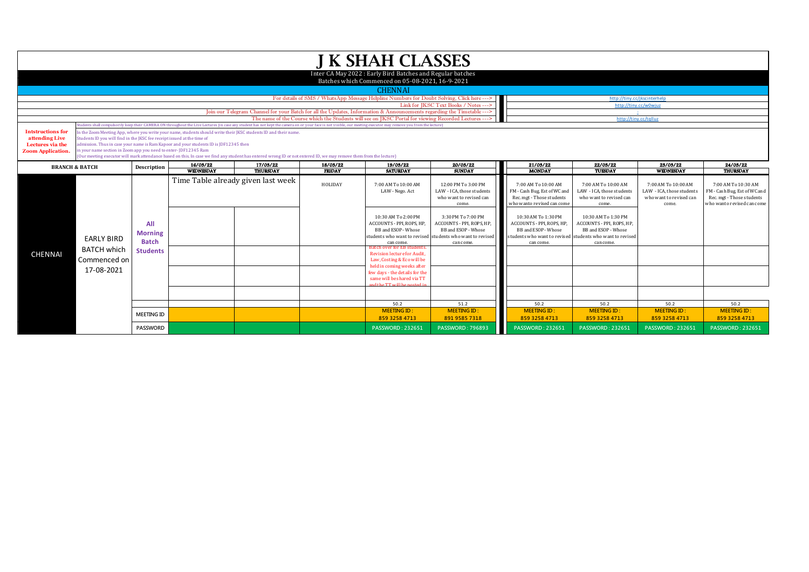|                                                                                            |                                                                       |                                                                                                                                                                                                                                                                                                                                                                                                                                                                                                                                                                                                                                                                                                                                                                                                                                                            |           |                                                                                                                        |               | <b>J K SHAH CLASSES</b>                                                                                                                                                                                                                                                                                                                |                                                                                                                                                                                                                                                  |                                                                                                                                                                                                                |                                                                                                                                                                                                                                                   |                                                                                              |                                                                                                                        |
|--------------------------------------------------------------------------------------------|-----------------------------------------------------------------------|------------------------------------------------------------------------------------------------------------------------------------------------------------------------------------------------------------------------------------------------------------------------------------------------------------------------------------------------------------------------------------------------------------------------------------------------------------------------------------------------------------------------------------------------------------------------------------------------------------------------------------------------------------------------------------------------------------------------------------------------------------------------------------------------------------------------------------------------------------|-----------|------------------------------------------------------------------------------------------------------------------------|---------------|----------------------------------------------------------------------------------------------------------------------------------------------------------------------------------------------------------------------------------------------------------------------------------------------------------------------------------------|--------------------------------------------------------------------------------------------------------------------------------------------------------------------------------------------------------------------------------------------------|----------------------------------------------------------------------------------------------------------------------------------------------------------------------------------------------------------------|---------------------------------------------------------------------------------------------------------------------------------------------------------------------------------------------------------------------------------------------------|----------------------------------------------------------------------------------------------|------------------------------------------------------------------------------------------------------------------------|
|                                                                                            |                                                                       |                                                                                                                                                                                                                                                                                                                                                                                                                                                                                                                                                                                                                                                                                                                                                                                                                                                            |           |                                                                                                                        |               | Inter CA May 2022: Early Bird Batches and Regular batches<br>Batches which Commenced on 05-08-2021, 16-9-2021                                                                                                                                                                                                                          |                                                                                                                                                                                                                                                  |                                                                                                                                                                                                                |                                                                                                                                                                                                                                                   |                                                                                              |                                                                                                                        |
|                                                                                            |                                                                       |                                                                                                                                                                                                                                                                                                                                                                                                                                                                                                                                                                                                                                                                                                                                                                                                                                                            |           |                                                                                                                        |               | <b>CHENNAI</b>                                                                                                                                                                                                                                                                                                                         |                                                                                                                                                                                                                                                  |                                                                                                                                                                                                                |                                                                                                                                                                                                                                                   |                                                                                              |                                                                                                                        |
|                                                                                            |                                                                       |                                                                                                                                                                                                                                                                                                                                                                                                                                                                                                                                                                                                                                                                                                                                                                                                                                                            |           |                                                                                                                        |               | For details of SMS / WhatsApp Message Helpline Numbers for Doubt Solving, Click here --->                                                                                                                                                                                                                                              |                                                                                                                                                                                                                                                  |                                                                                                                                                                                                                | http://tiny.cc/jkscinterhelp                                                                                                                                                                                                                      |                                                                                              |                                                                                                                        |
|                                                                                            |                                                                       |                                                                                                                                                                                                                                                                                                                                                                                                                                                                                                                                                                                                                                                                                                                                                                                                                                                            |           |                                                                                                                        |               |                                                                                                                                                                                                                                                                                                                                        | Link for IKSC Text Books / Notes --->                                                                                                                                                                                                            |                                                                                                                                                                                                                | http://tiny.cc/w0wiuz                                                                                                                                                                                                                             |                                                                                              |                                                                                                                        |
|                                                                                            |                                                                       |                                                                                                                                                                                                                                                                                                                                                                                                                                                                                                                                                                                                                                                                                                                                                                                                                                                            |           | Join our Telegram Channel for your Batch for all the Updates, Information & Announcements regarding the Timetable ---> |               |                                                                                                                                                                                                                                                                                                                                        |                                                                                                                                                                                                                                                  |                                                                                                                                                                                                                |                                                                                                                                                                                                                                                   |                                                                                              |                                                                                                                        |
|                                                                                            |                                                                       |                                                                                                                                                                                                                                                                                                                                                                                                                                                                                                                                                                                                                                                                                                                                                                                                                                                            |           | The name of the Course which the Students will see on JKSC Portal for viewing Recorded Lectures --- >                  |               | http://tinv.cc/talluz                                                                                                                                                                                                                                                                                                                  |                                                                                                                                                                                                                                                  |                                                                                                                                                                                                                |                                                                                                                                                                                                                                                   |                                                                                              |                                                                                                                        |
| <b>Intstructions for</b><br>attending Live<br>Lectures via the<br><b>Zoom Application.</b> |                                                                       | udents shall compulsorily keep their CAMERA ON throughout the Live Lectures (in case any student has not kept the camera on or your face is not visible, our meeting executor may remove you from the lecture)<br>n the Zoom Meeting App, where you write your name, students should write their JKSC students ID and their name.<br>Students ID you will find in the JKSC fee receipt issued at the time of<br>admission. Thus in case your name is Ram Kapoor and your students ID is JDF12345 then<br>in your name section in Zoom app you need to enter-JDF12345 Ram<br>(Our meeting executor will mark attendance based on this. In case we find any student has entered wrong ID or not entered ID, we may remove them from the lecture)<br>24/03/22<br>17/03/22<br>19/03/22<br>23/03/22<br>16/03/22<br>18/03/22<br>20/03/22<br>21/03/22<br>22/03/22 |           |                                                                                                                        |               |                                                                                                                                                                                                                                                                                                                                        |                                                                                                                                                                                                                                                  |                                                                                                                                                                                                                |                                                                                                                                                                                                                                                   |                                                                                              |                                                                                                                        |
| <b>BRANCH &amp; BATCH</b>                                                                  |                                                                       | Description                                                                                                                                                                                                                                                                                                                                                                                                                                                                                                                                                                                                                                                                                                                                                                                                                                                | WEDNESDAY | THURSDAY                                                                                                               | <b>FRIDAY</b> | <b>SATURDAY</b>                                                                                                                                                                                                                                                                                                                        | <b>SUNDAY</b>                                                                                                                                                                                                                                    | <b>MONDAY</b>                                                                                                                                                                                                  | <b>TUESDAY</b>                                                                                                                                                                                                                                    | WEDNESDAY                                                                                    | THURSDAY                                                                                                               |
| <b>CHENNAI</b>                                                                             | <b>EARLY BIRD</b><br><b>BATCH which</b><br>Commenced on<br>17-08-2021 | All<br><b>Morning</b><br><b>Batch</b><br><b>Students</b>                                                                                                                                                                                                                                                                                                                                                                                                                                                                                                                                                                                                                                                                                                                                                                                                   |           | Time Table already given last week                                                                                     | HOLIDAY       | 7:00 AM To 10:00 AM<br>LAW - Nego. Act<br>10:30 AM To 2:00 PM<br>ACCOUNTS - PPI, ROPS, HP.<br>BB and ESOP - Whose<br>can come.<br><b>Batch over for EB students</b><br>Revision lecture for Audit.<br>Law, Costing & Eco will be<br>held in coming weeks after<br>few days - the details for the<br>same will be shared via TT<br>50.2 | 12:00 PM To 3:00 PM<br>LAW - ICA, those students<br>who want to revised can<br>come.<br>3:30 PM To 7:00 PM<br>ACCOUNTS - PPI. ROPS. HP.<br>BB and ESOP - Whose<br>students who want to revised students who want to revised<br>can come.<br>51.2 | 7:00 AM To 10:00 AM<br>FM - Cash Bug, Est of WC and<br>Rec. mgt - Those students<br>who wanto revised can come<br>10:30 AM To 1:30 PM<br>ACCOUNTS - PPI, ROPS, HP.<br>BB and ESOP - Whose<br>can come.<br>50.2 | 7:00 AM To 10:00 AM<br>LAW - ICA, those students<br>who want to revised can<br>come.<br>10:30 AM To 1:30 PM<br>ACCOUNTS - PPI. ROPS. HP.<br>BB and ESOP - Whose<br>students who want to revised students who want to revised<br>can come.<br>50.2 | 7:00 AM To 10:00 AM<br>LAW - ICA, those students<br>who want to revised can<br>come.<br>50.2 | 7:00 AM To 10:30 AM<br>FM - Cash Bug, Est of WC and<br>Rec. mgt - Those students<br>who wanto revised can come<br>50.2 |
|                                                                                            |                                                                       | <b>MEETING ID</b>                                                                                                                                                                                                                                                                                                                                                                                                                                                                                                                                                                                                                                                                                                                                                                                                                                          |           |                                                                                                                        |               | <b>MEETING ID:</b>                                                                                                                                                                                                                                                                                                                     | <b>MEETING ID:</b>                                                                                                                                                                                                                               | <b>MEETING ID:</b>                                                                                                                                                                                             | <b>MEETING ID:</b>                                                                                                                                                                                                                                | <b>MEETING ID:</b>                                                                           | <b>MEETING ID:</b>                                                                                                     |
|                                                                                            |                                                                       | <b>PASSWORD</b>                                                                                                                                                                                                                                                                                                                                                                                                                                                                                                                                                                                                                                                                                                                                                                                                                                            |           |                                                                                                                        |               | 859 3258 4713<br><b>PASSWORD: 232651</b>                                                                                                                                                                                                                                                                                               | 891 9585 7318<br><b>PASSWORD: 796893</b>                                                                                                                                                                                                         | 859 3258 4713<br><b>PASSWORD: 232651</b>                                                                                                                                                                       | 859 3258 4713<br><b>PASSWORD: 232651</b>                                                                                                                                                                                                          | 859 3258 4713<br><b>PASSWORD: 232651</b>                                                     | 859 3258 4713<br><b>PASSWORD: 232651</b>                                                                               |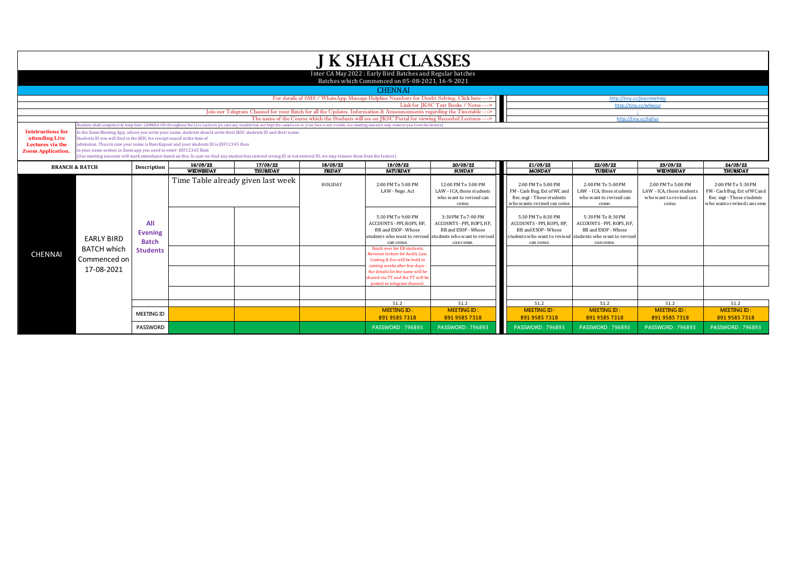|                                                                                            |                                                                                                                                                                                                                                                                                                                                                                                                                                                                                                                                                                                                                                                                                                                                                            |                                 |                              |                                                                                                                        |                           | <b>J K SHAH CLASSES</b>                                                                                                                                                          |                                                                                                                                                                                                                             |                                                                                                                                                                                         |                                                                                                                                                                                                                            |                                                                                     |                                                                                                               |
|--------------------------------------------------------------------------------------------|------------------------------------------------------------------------------------------------------------------------------------------------------------------------------------------------------------------------------------------------------------------------------------------------------------------------------------------------------------------------------------------------------------------------------------------------------------------------------------------------------------------------------------------------------------------------------------------------------------------------------------------------------------------------------------------------------------------------------------------------------------|---------------------------------|------------------------------|------------------------------------------------------------------------------------------------------------------------|---------------------------|----------------------------------------------------------------------------------------------------------------------------------------------------------------------------------|-----------------------------------------------------------------------------------------------------------------------------------------------------------------------------------------------------------------------------|-----------------------------------------------------------------------------------------------------------------------------------------------------------------------------------------|----------------------------------------------------------------------------------------------------------------------------------------------------------------------------------------------------------------------------|-------------------------------------------------------------------------------------|---------------------------------------------------------------------------------------------------------------|
|                                                                                            |                                                                                                                                                                                                                                                                                                                                                                                                                                                                                                                                                                                                                                                                                                                                                            |                                 |                              |                                                                                                                        |                           | Inter CA May 2022: Early Bird Batches and Regular batches<br>Batches which Commenced on 05-08-2021, 16-9-2021                                                                    |                                                                                                                                                                                                                             |                                                                                                                                                                                         |                                                                                                                                                                                                                            |                                                                                     |                                                                                                               |
|                                                                                            |                                                                                                                                                                                                                                                                                                                                                                                                                                                                                                                                                                                                                                                                                                                                                            |                                 |                              |                                                                                                                        |                           | <b>CHENNAI</b>                                                                                                                                                                   |                                                                                                                                                                                                                             |                                                                                                                                                                                         |                                                                                                                                                                                                                            |                                                                                     |                                                                                                               |
|                                                                                            |                                                                                                                                                                                                                                                                                                                                                                                                                                                                                                                                                                                                                                                                                                                                                            |                                 |                              |                                                                                                                        |                           | For details of SMS / WhatsApp Message Helpline Numbers for Doubt Solving, Click here --->                                                                                        |                                                                                                                                                                                                                             |                                                                                                                                                                                         | http://tiny.cc/jkscinterhelp                                                                                                                                                                                               |                                                                                     |                                                                                                               |
|                                                                                            |                                                                                                                                                                                                                                                                                                                                                                                                                                                                                                                                                                                                                                                                                                                                                            |                                 |                              |                                                                                                                        |                           |                                                                                                                                                                                  | Link for IKSC Text Books / Notes --->                                                                                                                                                                                       |                                                                                                                                                                                         | http://tiny.cc/w0wiuz                                                                                                                                                                                                      |                                                                                     |                                                                                                               |
|                                                                                            |                                                                                                                                                                                                                                                                                                                                                                                                                                                                                                                                                                                                                                                                                                                                                            |                                 |                              | Join our Telegram Channel for your Batch for all the Updates, Information & Announcements regarding the Timetable ---> |                           |                                                                                                                                                                                  |                                                                                                                                                                                                                             |                                                                                                                                                                                         |                                                                                                                                                                                                                            |                                                                                     |                                                                                                               |
|                                                                                            |                                                                                                                                                                                                                                                                                                                                                                                                                                                                                                                                                                                                                                                                                                                                                            |                                 |                              | The name of the Course which the Students will see on IKSC Portal for viewing Recorded Lectures --->                   |                           | http://tiny.cc/talluz                                                                                                                                                            |                                                                                                                                                                                                                             |                                                                                                                                                                                         |                                                                                                                                                                                                                            |                                                                                     |                                                                                                               |
| <b>Intstructions for</b><br>attending Live<br>Lectures via the<br><b>Zoom Application.</b> | udents shall compulsorily keep their CAMERA ON throughout the Live Lectures (in case any student has not kept the camera on or your face is not visible, our meeting executor may remove you from the lecture)<br>n the Zoom Meeting App, where you write your name, students should write their JKSC students ID and their name.<br>Students ID you will find in the JKSC fee receipt issued at the time of<br>admission. Thus in case your name is Ram Kapoor and your students ID is JDF12345 then<br>in your name section in Zoom app you need to enter-JDF12345 Ram<br>(Our meeting executor will mark attendance based on this. In case we find any student has entered wrong ID or not entered ID, we may remove them from the lecture)<br>24/03/22 |                                 |                              |                                                                                                                        |                           |                                                                                                                                                                                  |                                                                                                                                                                                                                             |                                                                                                                                                                                         |                                                                                                                                                                                                                            |                                                                                     |                                                                                                               |
| <b>BRANCH &amp; BATCH</b>                                                                  |                                                                                                                                                                                                                                                                                                                                                                                                                                                                                                                                                                                                                                                                                                                                                            | Description                     | 16/03/22<br><b>WEDNESDAY</b> | 17/03/22<br>THURSDAY                                                                                                   | 18/03/22<br><b>FRIDAY</b> | 19/03/22<br><b>SATURDAY</b>                                                                                                                                                      | 20/03/22<br><b>SUNDAY</b>                                                                                                                                                                                                   | 21/03/22<br><b>MONDAY</b>                                                                                                                                                               | 22/03/22<br>TUESDAY                                                                                                                                                                                                        | 23/03/22<br><b>WEDNESDAY</b>                                                        | THURSDAY                                                                                                      |
|                                                                                            |                                                                                                                                                                                                                                                                                                                                                                                                                                                                                                                                                                                                                                                                                                                                                            | All<br><b>Evening</b>           |                              | Time Table already given last week                                                                                     | HOLIDAY                   | 2:00 PM To 5:00 PM<br>LAW - Nego. Act<br>5:30 PM To 9:00 PM<br>ACCOUNTS - PPI, ROPS, HP,<br>BB and ESOP - Whose                                                                  | 12:00 PM To 3:00 PM<br>LAW - ICA, those students<br>who want to revised can<br>come.<br>3:30 PM To 7:00 PM<br>ACCOUNTS - PPI, ROPS, HP,<br>BB and ESOP - Whose<br>students who want to revised students who want to revised | 2:00 PM To 5:00 PM<br>FM - Cash Bug, Est of WC and<br>Rec. mgt - Those students<br>who wanto revised can come<br>5:30 PM To 8:30 PM<br>ACCOUNTS - PPI, ROPS, HP,<br>BB and ESOP - Whose | 2:00 PM To 5:00 PM<br>LAW - ICA, those students<br>who want to revised can<br>come.<br>5:30 PM To 8:30 PM<br>ACCOUNTS - PPI, ROPS, HP,<br>BB and ESOP - Whose<br>students who want to revised students who want to revised | 2:00 PM To 5:00 PM<br>LAW - ICA, those students<br>who want to revised can<br>come. | 2:00 PM To 5:30 PM<br>FM - Cash Bug, Est of WC and<br>Rec. mgt - Those students<br>who wanto revised can come |
| <b>CHENNAI</b>                                                                             | <b>EARLY BIRD</b><br><b>BATCH which</b><br>Commenced on<br>17-08-2021                                                                                                                                                                                                                                                                                                                                                                                                                                                                                                                                                                                                                                                                                      | <b>Batch</b><br><b>Students</b> |                              |                                                                                                                        |                           | can come.<br>Batch over for EB students.<br>Revision lecture for Audit, Law.<br>Costing & Eco will be held in<br>coming weeks after few days<br>the details for the same will be | can come                                                                                                                                                                                                                    | can come.                                                                                                                                                                               | can come.                                                                                                                                                                                                                  |                                                                                     |                                                                                                               |
|                                                                                            |                                                                                                                                                                                                                                                                                                                                                                                                                                                                                                                                                                                                                                                                                                                                                            |                                 |                              |                                                                                                                        |                           | shared via TT and the TT will be<br>posted in telegram channel                                                                                                                   |                                                                                                                                                                                                                             |                                                                                                                                                                                         |                                                                                                                                                                                                                            |                                                                                     |                                                                                                               |
|                                                                                            |                                                                                                                                                                                                                                                                                                                                                                                                                                                                                                                                                                                                                                                                                                                                                            |                                 |                              |                                                                                                                        |                           | 51.2                                                                                                                                                                             | 51.2                                                                                                                                                                                                                        | 51.2                                                                                                                                                                                    | 51.2                                                                                                                                                                                                                       | 51.2                                                                                | 51.2                                                                                                          |
|                                                                                            |                                                                                                                                                                                                                                                                                                                                                                                                                                                                                                                                                                                                                                                                                                                                                            | <b>MEETING ID</b>               |                              |                                                                                                                        |                           | <b>MEETING ID:</b><br>891 9585 7318                                                                                                                                              | <b>MEETING ID:</b><br>891 9585 7318                                                                                                                                                                                         | <b>MEETING ID:</b><br>891 9585 7318                                                                                                                                                     | <b>MEETING ID:</b><br>891 9585 7318                                                                                                                                                                                        | <b>MEETING ID:</b><br>891 9585 7318                                                 | <b>MEETING ID:</b><br>891 9585 7318                                                                           |
|                                                                                            |                                                                                                                                                                                                                                                                                                                                                                                                                                                                                                                                                                                                                                                                                                                                                            | <b>PASSWORD</b>                 |                              |                                                                                                                        |                           | <b>PASSWORD: 796893</b>                                                                                                                                                          | <b>PASSWORD: 796893</b>                                                                                                                                                                                                     | PASSWORD: 796893                                                                                                                                                                        | <b>PASSWORD: 796893</b>                                                                                                                                                                                                    | <b>PASSWORD: 796893</b>                                                             | <b>PASSWORD: 796893</b>                                                                                       |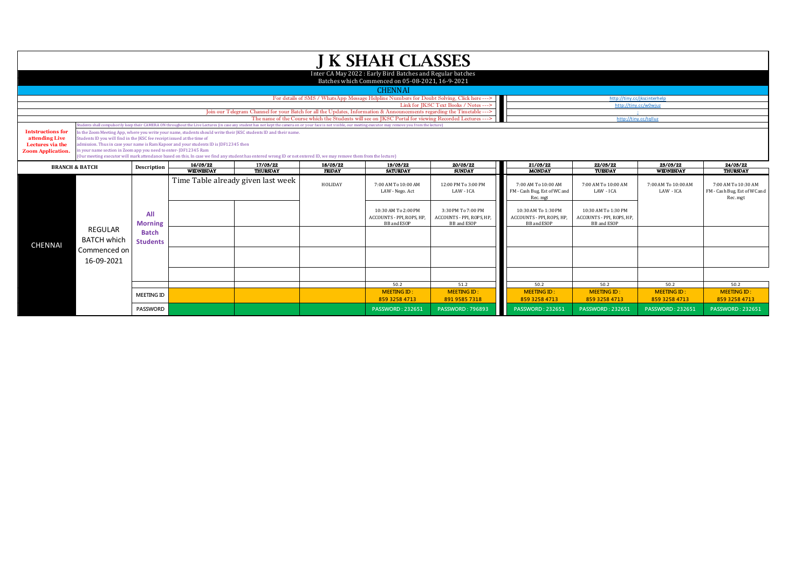|                                                                                                                               |                                                                                                                                                                                                                                                                                                                                                                                                                                                                                                                               |                                 |  |                                                                                                                                                                                                                |                           | <b>J K SHAH CLASSES</b>                                                                                        |                                                                       |                                                                        |                                                                        |                                     |                                                                 |
|-------------------------------------------------------------------------------------------------------------------------------|-------------------------------------------------------------------------------------------------------------------------------------------------------------------------------------------------------------------------------------------------------------------------------------------------------------------------------------------------------------------------------------------------------------------------------------------------------------------------------------------------------------------------------|---------------------------------|--|----------------------------------------------------------------------------------------------------------------------------------------------------------------------------------------------------------------|---------------------------|----------------------------------------------------------------------------------------------------------------|-----------------------------------------------------------------------|------------------------------------------------------------------------|------------------------------------------------------------------------|-------------------------------------|-----------------------------------------------------------------|
|                                                                                                                               |                                                                                                                                                                                                                                                                                                                                                                                                                                                                                                                               |                                 |  |                                                                                                                                                                                                                |                           | Inter CA May 2022 : Early Bird Batches and Regular batches<br>Batches which Commenced on 05-08-2021, 16-9-2021 |                                                                       |                                                                        |                                                                        |                                     |                                                                 |
|                                                                                                                               |                                                                                                                                                                                                                                                                                                                                                                                                                                                                                                                               |                                 |  |                                                                                                                                                                                                                |                           | <b>CHENNAI</b>                                                                                                 |                                                                       |                                                                        |                                                                        |                                     |                                                                 |
|                                                                                                                               |                                                                                                                                                                                                                                                                                                                                                                                                                                                                                                                               |                                 |  |                                                                                                                                                                                                                |                           | For details of SMS / WhatsApp Message Helpline Numbers for Doubt Solving, Click here --->                      |                                                                       |                                                                        | http://tiny.cc/jkscinterhelp                                           |                                     |                                                                 |
|                                                                                                                               |                                                                                                                                                                                                                                                                                                                                                                                                                                                                                                                               |                                 |  | Join our Telegram Channel for your Batch for all the Updates, Information & Announcements regarding the Timetable --->                                                                                         |                           |                                                                                                                | Link for JKSC Text Books / Notes --->                                 | http://tiny.cc/w0wiuz                                                  |                                                                        |                                     |                                                                 |
|                                                                                                                               |                                                                                                                                                                                                                                                                                                                                                                                                                                                                                                                               |                                 |  |                                                                                                                                                                                                                |                           | The name of the Course which the Students will see on JKSC Portal for viewing Recorded Lectures --- >          |                                                                       |                                                                        | http://tiny.cc/tqlluz                                                  |                                     |                                                                 |
|                                                                                                                               |                                                                                                                                                                                                                                                                                                                                                                                                                                                                                                                               |                                 |  | udents shall compulsorily keep their CAMERA ON throughout the Live Lectures (in case any student has not kept the camera on or your face is not visible, our meeting executor may remove you from the lecture) |                           |                                                                                                                |                                                                       |                                                                        |                                                                        |                                     |                                                                 |
| <b>Intstructions for</b><br>attending Live<br>Lectures via the<br><b>Zoom Application.</b>                                    | In the Zoom Meeting App, where you write your name, students should write their JKSC students ID and their name.<br>Students ID you will find in the JKSC fee receipt issued at the time of<br>admission. Thus in case your name is Ram Kapoor and your students ID is JDF12345 then<br>in your name section in Zoom app you need to enter-JDF12345 Ram<br>(Our meeting executor will mark attendance based on this. In case we find any student has entered wrong ID or not entered ID, we may remove them from the lecture) |                                 |  |                                                                                                                                                                                                                |                           |                                                                                                                |                                                                       |                                                                        |                                                                        |                                     |                                                                 |
| 17/03/22<br>16/03/22<br>18/03/22<br><b>BRANCH &amp; BATCH</b><br>Description<br><b>WEDNESDAY</b><br>THURSDAY<br><b>FRIDAY</b> |                                                                                                                                                                                                                                                                                                                                                                                                                                                                                                                               |                                 |  | 19/03/22<br><b>SATURDAY</b>                                                                                                                                                                                    | 20/03/22<br><b>SUNDAY</b> | 21/03/22<br><b>MONDAY</b>                                                                                      | 22/03/22<br>TUESDAY                                                   | 23/03/22<br><b>WEDNESDAY</b>                                           | 24/03/22<br><b>THURSDAY</b>                                            |                                     |                                                                 |
|                                                                                                                               |                                                                                                                                                                                                                                                                                                                                                                                                                                                                                                                               |                                 |  | Time Table already given last week                                                                                                                                                                             | HOLIDAY                   | 7:00 AM To 10:00 AM<br>LAW - Nego. Act                                                                         | 12:00 PM To 3:00 PM<br>LAW - ICA                                      | 7:00 AM To 10:00 AM<br>FM - Cash Bug, Est of WC and<br>Rec. mgt        | 7:00 AM To 10:00 AM<br>LAW - ICA                                       | 7:00 AM To 10:00 AM<br>LAW - ICA    | 7:00 AM To 10:30 AM<br>FM - Cash Bug, Est of WC and<br>Rec. mgt |
|                                                                                                                               | <b>REGULAR</b>                                                                                                                                                                                                                                                                                                                                                                                                                                                                                                                | All<br><b>Morning</b>           |  |                                                                                                                                                                                                                |                           | 10:30 AM To 2:00 PM<br>ACCOUNTS - PPI, ROPS, HP,<br><b>BB</b> and ESOP                                         | 3:30 PM To 7:00 PM<br>ACCOUNTS - PPI, ROPS, HP,<br><b>BB</b> and ESOP | 10:30 AM To 1:30 PM<br>ACCOUNTS - PPI, ROPS, HP,<br><b>BB</b> and ESOP | 10:30 AM To 1:30 PM<br>ACCOUNTS - PPI, ROPS, HP,<br><b>BB</b> and ESOP |                                     |                                                                 |
| <b>CHENNAI</b>                                                                                                                | <b>BATCH which</b>                                                                                                                                                                                                                                                                                                                                                                                                                                                                                                            | <b>Batch</b><br><b>Students</b> |  |                                                                                                                                                                                                                |                           |                                                                                                                |                                                                       |                                                                        |                                                                        |                                     |                                                                 |
|                                                                                                                               | Commenced on<br>16-09-2021                                                                                                                                                                                                                                                                                                                                                                                                                                                                                                    |                                 |  |                                                                                                                                                                                                                |                           |                                                                                                                |                                                                       |                                                                        |                                                                        |                                     |                                                                 |
|                                                                                                                               |                                                                                                                                                                                                                                                                                                                                                                                                                                                                                                                               |                                 |  |                                                                                                                                                                                                                |                           |                                                                                                                |                                                                       |                                                                        |                                                                        |                                     |                                                                 |
|                                                                                                                               |                                                                                                                                                                                                                                                                                                                                                                                                                                                                                                                               |                                 |  |                                                                                                                                                                                                                |                           | 50.2                                                                                                           | 51.2                                                                  | 50.2                                                                   | 50.2                                                                   | 50.2                                | 50.2                                                            |
|                                                                                                                               |                                                                                                                                                                                                                                                                                                                                                                                                                                                                                                                               | <b>MEETING ID</b>               |  |                                                                                                                                                                                                                |                           | <b>MEETING ID:</b><br>859 3258 4713                                                                            | <b>MEETING ID:</b><br>891 9585 7318                                   | <b>MEETING ID:</b><br>859 3258 4713                                    | <b>MEETING ID:</b><br>859 3258 4713                                    | <b>MEETING ID:</b><br>859 3258 4713 | <b>MEETING ID:</b><br>859 3258 4713                             |
|                                                                                                                               |                                                                                                                                                                                                                                                                                                                                                                                                                                                                                                                               | <b>PASSWORD</b>                 |  |                                                                                                                                                                                                                |                           | <b>PASSWORD: 232651</b>                                                                                        | <b>PASSWORD: 796893</b>                                               | <b>PASSWORD: 232651</b>                                                | <b>PASSWORD: 232651</b>                                                | <b>PASSWORD: 232651</b>             | <b>PASSWORD: 232651</b>                                         |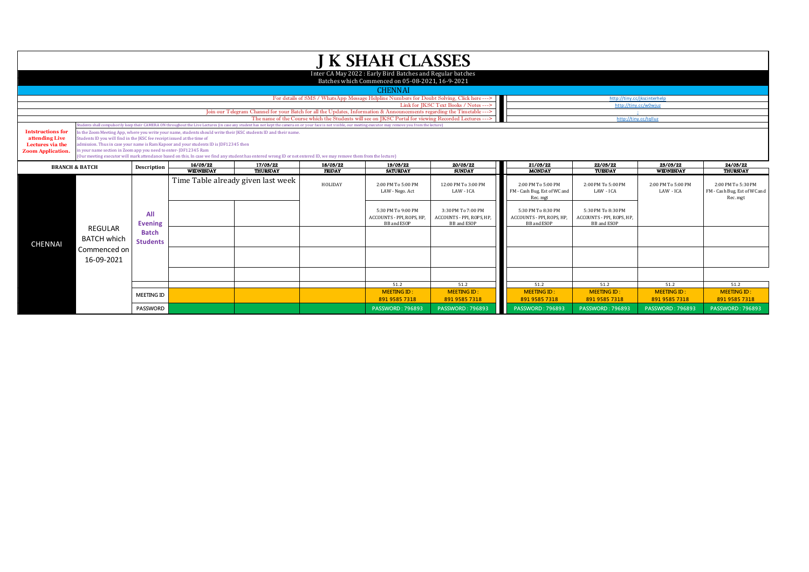|                                                                                            |                                    |                                                                                                                                                                                                                                                                                                                                                                                                                                                                                                                                                                                                                                                                                                                                                 |                              |                                                                                                                        |                           | <b>J K SHAH CLASSES</b>                                                                                       |                                                                      |                                                                       |                                                                       |                                     |                                                                |  |
|--------------------------------------------------------------------------------------------|------------------------------------|-------------------------------------------------------------------------------------------------------------------------------------------------------------------------------------------------------------------------------------------------------------------------------------------------------------------------------------------------------------------------------------------------------------------------------------------------------------------------------------------------------------------------------------------------------------------------------------------------------------------------------------------------------------------------------------------------------------------------------------------------|------------------------------|------------------------------------------------------------------------------------------------------------------------|---------------------------|---------------------------------------------------------------------------------------------------------------|----------------------------------------------------------------------|-----------------------------------------------------------------------|-----------------------------------------------------------------------|-------------------------------------|----------------------------------------------------------------|--|
|                                                                                            |                                    |                                                                                                                                                                                                                                                                                                                                                                                                                                                                                                                                                                                                                                                                                                                                                 |                              |                                                                                                                        |                           | Inter CA May 2022: Early Bird Batches and Regular batches<br>Batches which Commenced on 05-08-2021, 16-9-2021 |                                                                      |                                                                       |                                                                       |                                     |                                                                |  |
|                                                                                            |                                    |                                                                                                                                                                                                                                                                                                                                                                                                                                                                                                                                                                                                                                                                                                                                                 |                              |                                                                                                                        |                           | <b>CHENNAI</b>                                                                                                |                                                                      |                                                                       |                                                                       |                                     |                                                                |  |
|                                                                                            |                                    |                                                                                                                                                                                                                                                                                                                                                                                                                                                                                                                                                                                                                                                                                                                                                 |                              |                                                                                                                        |                           | For details of SMS / WhatsApp Message Helpline Numbers for Doubt Solving, Click here --->                     |                                                                      | http://tinv.cc/ikscinterhelp                                          |                                                                       |                                     |                                                                |  |
|                                                                                            |                                    |                                                                                                                                                                                                                                                                                                                                                                                                                                                                                                                                                                                                                                                                                                                                                 |                              |                                                                                                                        |                           |                                                                                                               | Link for JKSC Text Books / Notes --->                                | http://tiny.cc/w0wiuz                                                 |                                                                       |                                     |                                                                |  |
|                                                                                            |                                    |                                                                                                                                                                                                                                                                                                                                                                                                                                                                                                                                                                                                                                                                                                                                                 |                              | Join our Telegram Channel for your Batch for all the Updates, Information & Announcements regarding the Timetable ---> |                           | The name of the Course which the Students will see on IKSC Portal for viewing Recorded Lectures ---           |                                                                      |                                                                       | http://tiny.cc/talluz                                                 |                                     |                                                                |  |
|                                                                                            |                                    |                                                                                                                                                                                                                                                                                                                                                                                                                                                                                                                                                                                                                                                                                                                                                 |                              |                                                                                                                        |                           |                                                                                                               |                                                                      |                                                                       |                                                                       |                                     |                                                                |  |
| <b>Intstructions for</b><br>attending Live<br>Lectures via the<br><b>Zoom Application.</b> |                                    | udents shall compulsorily keep their CAMERA ON throughout the Live Lectures (in case any student has not kept the camera on or your face is not visible, our meeting executor may remove you from the lecture)<br>In the Zoom Meeting App, where you write your name, students should write their JKSC students ID and their name.<br>Students ID you will find in the JKSC fee receipt issued at the time of<br>admission. Thus in case your name is Ram Kapoor and your students ID is [DF12345 then<br>in your name section in Zoom app you need to enter-JDF12345 Ram<br>(Our meeting executor will mark attendance based on this. In case we find any student has entered wrong ID or not entered ID, we may remove them from the lecture) |                              |                                                                                                                        |                           |                                                                                                               |                                                                      |                                                                       |                                                                       |                                     |                                                                |  |
| <b>BRANCH &amp; BATCH</b>                                                                  |                                    | Description                                                                                                                                                                                                                                                                                                                                                                                                                                                                                                                                                                                                                                                                                                                                     | 16/03/22<br><b>WEDNESDAY</b> | 17/03/22<br><b>THURSDAY</b>                                                                                            | 18/03/22<br><b>FRIDAY</b> | 19/03/22<br><b>SATURDAY</b>                                                                                   | 20/03/22<br><b>SUNDAY</b>                                            | 21/03/22<br><b>MONDAY</b>                                             | 22/03/22<br>TUESDAY                                                   | 23/03/22<br>WEDNESDAY               | 24/03/22<br><b>THURSDAY</b>                                    |  |
|                                                                                            |                                    |                                                                                                                                                                                                                                                                                                                                                                                                                                                                                                                                                                                                                                                                                                                                                 |                              | Time Table already given last week                                                                                     | HOLIDAY                   | 2:00 PM To 5:00 PM<br>LAW - Nego. Act                                                                         | 12:00 PM To 3:00 PM<br>LAW - ICA                                     | 2:00 PM To 5:00 PM<br>FM - Cash Bug, Est of WC and<br>Rec. mgt        | 2:00 PM To 5:00 PM<br>LAW - ICA                                       | 2:00 PM To 5:00 PM<br>LAW - ICA     | 2:00 PM To 5:30 PM<br>FM - Cash Bug, Est of WC and<br>Rec. mgt |  |
|                                                                                            | <b>REGULAR</b>                     | All<br><b>Evening</b>                                                                                                                                                                                                                                                                                                                                                                                                                                                                                                                                                                                                                                                                                                                           |                              |                                                                                                                        |                           | 5:30 PM To 9:00 PM<br>ACCOUNTS - PPI, ROPS, HP,<br><b>BB</b> and ESOP                                         | 3:30 PM To 7:00 PM<br>ACCOUNTS - PPI, ROPS, HP<br><b>BB</b> and ESOP | 5:30 PM To 8:30 PM<br>ACCOUNTS - PPI, ROPS, HP.<br><b>BB</b> and ESOP | 5:30 PM To 8:30 PM<br>ACCOUNTS - PPI, ROPS, HP.<br><b>BB</b> and ESOP |                                     |                                                                |  |
| <b>CHENNAI</b>                                                                             | <b>BATCH which</b><br>Commenced on | <b>Batch</b><br><b>Students</b>                                                                                                                                                                                                                                                                                                                                                                                                                                                                                                                                                                                                                                                                                                                 |                              |                                                                                                                        |                           |                                                                                                               |                                                                      |                                                                       |                                                                       |                                     |                                                                |  |
|                                                                                            | 16-09-2021                         |                                                                                                                                                                                                                                                                                                                                                                                                                                                                                                                                                                                                                                                                                                                                                 |                              |                                                                                                                        |                           |                                                                                                               |                                                                      |                                                                       |                                                                       |                                     |                                                                |  |
|                                                                                            |                                    |                                                                                                                                                                                                                                                                                                                                                                                                                                                                                                                                                                                                                                                                                                                                                 |                              |                                                                                                                        |                           |                                                                                                               |                                                                      |                                                                       |                                                                       |                                     |                                                                |  |
|                                                                                            |                                    |                                                                                                                                                                                                                                                                                                                                                                                                                                                                                                                                                                                                                                                                                                                                                 |                              |                                                                                                                        |                           | 51.2                                                                                                          | 51.2                                                                 | 51.2                                                                  | 51.2                                                                  | 51.2                                | 51.2                                                           |  |
|                                                                                            |                                    | <b>MEETING ID</b>                                                                                                                                                                                                                                                                                                                                                                                                                                                                                                                                                                                                                                                                                                                               |                              |                                                                                                                        |                           | <b>MEETING ID:</b><br>891 9585 7318                                                                           | <b>MEETING ID</b><br>891 9585 7318                                   | <b>MEETING ID:</b><br>891 9585 7318                                   | <b>MEETING ID:</b><br>891 9585 7318                                   | <b>MEETING ID:</b><br>891 9585 7318 | <b>MEETING ID:</b><br>891 9585 7318                            |  |
|                                                                                            |                                    | <b>PASSWORD</b>                                                                                                                                                                                                                                                                                                                                                                                                                                                                                                                                                                                                                                                                                                                                 |                              |                                                                                                                        |                           | <b>PASSWORD: 796893</b>                                                                                       | <b>PASSWORD: 796893</b>                                              | <b>PASSWORD: 796893</b>                                               | <b>PASSWORD: 796893</b>                                               | <b>PASSWORD: 796893</b>             | <b>PASSWORD: 796893</b>                                        |  |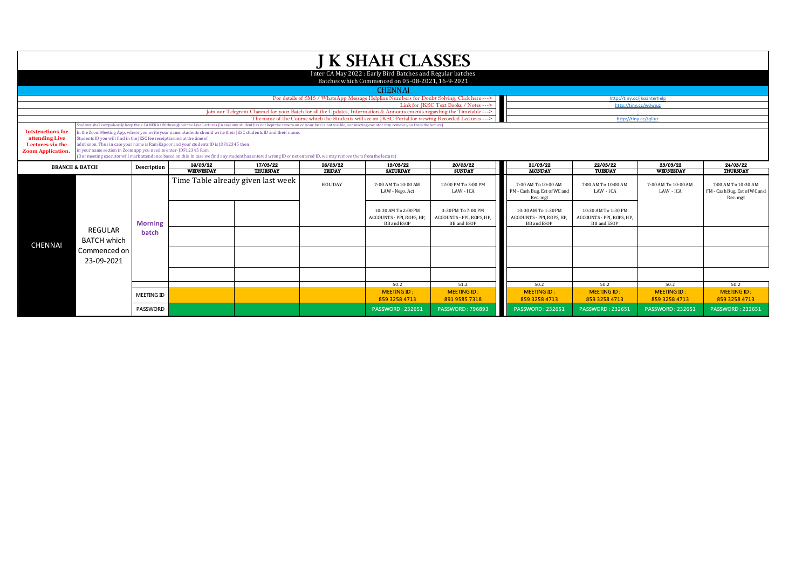|                                                                                                                                                              |                                                                                                                                                                                                                                                                                                                                                                                                                                                                                                                                                                                                                                                                                                                                                 |                   |  |                                                                                                                        |                           | <b>J K SHAH CLASSES</b>                                                                                       |                                                                      |                                                                               |                                                                        |                                     |                                                                 |  |
|--------------------------------------------------------------------------------------------------------------------------------------------------------------|-------------------------------------------------------------------------------------------------------------------------------------------------------------------------------------------------------------------------------------------------------------------------------------------------------------------------------------------------------------------------------------------------------------------------------------------------------------------------------------------------------------------------------------------------------------------------------------------------------------------------------------------------------------------------------------------------------------------------------------------------|-------------------|--|------------------------------------------------------------------------------------------------------------------------|---------------------------|---------------------------------------------------------------------------------------------------------------|----------------------------------------------------------------------|-------------------------------------------------------------------------------|------------------------------------------------------------------------|-------------------------------------|-----------------------------------------------------------------|--|
|                                                                                                                                                              |                                                                                                                                                                                                                                                                                                                                                                                                                                                                                                                                                                                                                                                                                                                                                 |                   |  |                                                                                                                        |                           | Inter CA May 2022: Early Bird Batches and Regular batches<br>Batches which Commenced on 05-08-2021, 16-9-2021 |                                                                      |                                                                               |                                                                        |                                     |                                                                 |  |
|                                                                                                                                                              |                                                                                                                                                                                                                                                                                                                                                                                                                                                                                                                                                                                                                                                                                                                                                 |                   |  |                                                                                                                        |                           | <b>CHENNAI</b>                                                                                                |                                                                      |                                                                               |                                                                        |                                     |                                                                 |  |
|                                                                                                                                                              |                                                                                                                                                                                                                                                                                                                                                                                                                                                                                                                                                                                                                                                                                                                                                 |                   |  |                                                                                                                        |                           | For details of SMS / WhatsApp Message Helpline Numbers for Doubt Solving, Click here --->                     |                                                                      | http://tinv.cc/ikscinterhelp                                                  |                                                                        |                                     |                                                                 |  |
|                                                                                                                                                              |                                                                                                                                                                                                                                                                                                                                                                                                                                                                                                                                                                                                                                                                                                                                                 |                   |  |                                                                                                                        |                           |                                                                                                               | Link for JKSC Text Books / Notes --->                                | http://tiny.cc/w0wjuz                                                         |                                                                        |                                     |                                                                 |  |
|                                                                                                                                                              |                                                                                                                                                                                                                                                                                                                                                                                                                                                                                                                                                                                                                                                                                                                                                 |                   |  | Join our Telegram Channel for your Batch for all the Updates, Information & Announcements regarding the Timetable ---> |                           | The name of the Course which the Students will see on IKSC Portal for viewing Recorded Lectures ---           |                                                                      |                                                                               |                                                                        |                                     |                                                                 |  |
|                                                                                                                                                              |                                                                                                                                                                                                                                                                                                                                                                                                                                                                                                                                                                                                                                                                                                                                                 |                   |  |                                                                                                                        |                           |                                                                                                               |                                                                      |                                                                               | http://tiny.cc/talluz                                                  |                                     |                                                                 |  |
| <b>Intstructions for</b><br>attending Live<br>Lectures via the<br><b>Zoom Application.</b>                                                                   | udents shall compulsorily keep their CAMERA ON throughout the Live Lectures (in case any student has not kept the camera on or your face is not visible, our meeting executor may remove you from the lecture)<br>In the Zoom Meeting App, where you write your name, students should write their JKSC students ID and their name.<br>Students ID you will find in the IKSC fee receipt issued at the time of<br>admission. Thus in case your name is Ram Kapoor and your students ID is JDF12345 then<br>in your name section in Zoom app you need to enter-JDF12345 Ram<br>(Our meeting executor will mark attendance based on this. In case we find any student has entered wrong ID or not entered ID, we may remove them from the lecture) |                   |  |                                                                                                                        |                           |                                                                                                               |                                                                      |                                                                               |                                                                        |                                     |                                                                 |  |
| 16/03/22<br>17/03/22<br>18/03/22<br>19/03/22<br><b>BRANCH &amp; BATCH</b><br>Description<br>WEDNESDAY<br><b>THURSDAY</b><br><b>FRIDAY</b><br><b>SATURDAY</b> |                                                                                                                                                                                                                                                                                                                                                                                                                                                                                                                                                                                                                                                                                                                                                 |                   |  |                                                                                                                        | 20/03/22<br><b>SUNDAY</b> | 21/03/22<br><b>MONDAY</b>                                                                                     | 22/03/22<br>TUESDAY                                                  | 23/03/22<br>WEDNESDAY                                                         | 24/03/22<br>THURSDAY                                                   |                                     |                                                                 |  |
|                                                                                                                                                              |                                                                                                                                                                                                                                                                                                                                                                                                                                                                                                                                                                                                                                                                                                                                                 |                   |  | Time Table already given last week                                                                                     | HOLIDAY                   | 7:00 AM To 10:00 AM<br>LAW - Nego. Act                                                                        | 12:00 PM To 3:00 PM<br>LAW - ICA                                     | 7:00 AM To 10:00 AM<br>FM - Cash Bug, Est of WC and<br>Rec. mgt               | 7:00 AM To 10:00 AM<br>LAW - ICA                                       | 7:00 AM To 10:00 AM<br>LAW - ICA    | 7:00 AM To 10:30 AM<br>FM - Cash Bug, Est of WC and<br>Rec. mgt |  |
|                                                                                                                                                              |                                                                                                                                                                                                                                                                                                                                                                                                                                                                                                                                                                                                                                                                                                                                                 | <b>Morning</b>    |  |                                                                                                                        |                           | 10:30 AM To 2:00 PM<br>ACCOUNTS - PPI, ROPS, HP<br><b>BB</b> and ESOP                                         | 3:30 PM To 7:00 PM<br>ACCOUNTS - PPI, ROPS, HP<br><b>BB</b> and ESOP | 10:30 AM To 1:30 PM<br>ACCOUNTS - PPI, ROPS, HP,<br><b>BB</b> and <b>ESOP</b> | 10:30 AM To 1:30 PM<br>ACCOUNTS - PPI, ROPS, HP,<br><b>BB</b> and ESOP |                                     |                                                                 |  |
| <b>CHENNAI</b>                                                                                                                                               | <b>REGULAR</b><br><b>BATCH which</b><br>Commenced on                                                                                                                                                                                                                                                                                                                                                                                                                                                                                                                                                                                                                                                                                            | batch             |  |                                                                                                                        |                           |                                                                                                               |                                                                      |                                                                               |                                                                        |                                     |                                                                 |  |
|                                                                                                                                                              | 23-09-2021                                                                                                                                                                                                                                                                                                                                                                                                                                                                                                                                                                                                                                                                                                                                      |                   |  |                                                                                                                        |                           |                                                                                                               |                                                                      |                                                                               |                                                                        |                                     |                                                                 |  |
|                                                                                                                                                              |                                                                                                                                                                                                                                                                                                                                                                                                                                                                                                                                                                                                                                                                                                                                                 |                   |  |                                                                                                                        |                           |                                                                                                               |                                                                      |                                                                               |                                                                        |                                     |                                                                 |  |
|                                                                                                                                                              |                                                                                                                                                                                                                                                                                                                                                                                                                                                                                                                                                                                                                                                                                                                                                 |                   |  |                                                                                                                        |                           | 50.2                                                                                                          | 51.2                                                                 | 50.2                                                                          | 50.2                                                                   | 50.2                                | 50.2                                                            |  |
|                                                                                                                                                              |                                                                                                                                                                                                                                                                                                                                                                                                                                                                                                                                                                                                                                                                                                                                                 | <b>MEETING ID</b> |  |                                                                                                                        |                           | <b>MEETING ID:</b><br>859 3258 4713                                                                           | <b>MEETING ID</b><br>891 9585 7318                                   | <b>MEETING ID:</b><br>859 3258 4713                                           | <b>MEETING ID:</b><br>859 3258 4713                                    | <b>MEETING ID:</b><br>859 3258 4713 | <b>MEETING ID:</b><br>859 3258 4713                             |  |
|                                                                                                                                                              |                                                                                                                                                                                                                                                                                                                                                                                                                                                                                                                                                                                                                                                                                                                                                 | <b>PASSWORD</b>   |  |                                                                                                                        |                           | <b>PASSWORD: 232651</b>                                                                                       | <b>PASSWORD: 796893</b>                                              | <b>PASSWORD: 232651</b>                                                       | <b>PASSWORD: 232651</b>                                                | <b>PASSWORD: 232651</b>             | <b>PASSWORD: 232651</b>                                         |  |